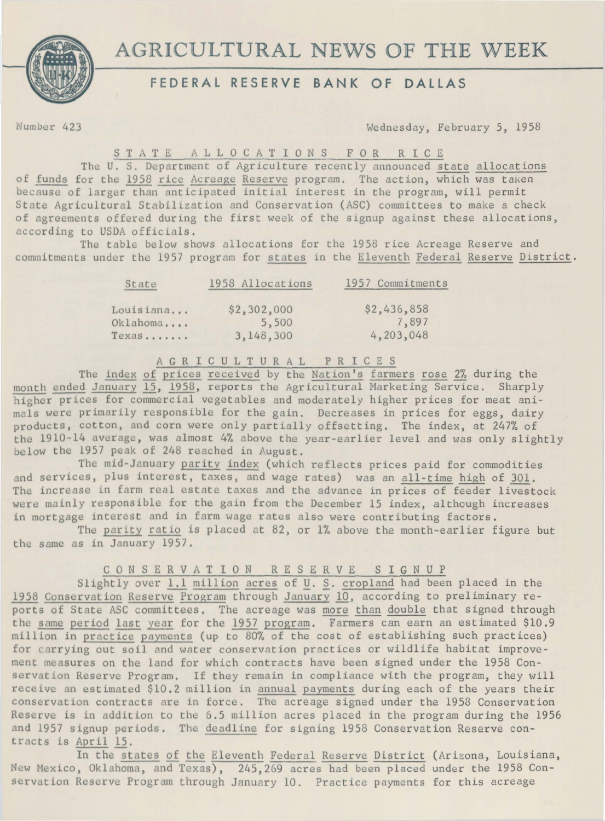



## **FEDERAL RESERVE BANK OF DALLAS**

Number 423 Wednesday, February 5, 1958

S T A T E – A L L O C A T I O N S – F O R – R I C E<br>The U. S. Department of Agriculture recently announced state allocations of funds for the 1958 rice Acreage Reserve program. The action, which was taken because of larger than anticipated initial interest in the program, will permit State Agricultural Stabilization and Conservation (ASC) committees to make a check of agreements offered during the first week of the signup against these allocations, according to USDA officials.

The table below shows allocations for the 1958 rice Acreage Reserve and commitments under the 1957 program for states in the Eleventh Federal Reserve District.

| State     | 1958 Allocations | 1957 Commitments |  |
|-----------|------------------|------------------|--|
| Louisiana | \$2,302,000      | \$2,436,858      |  |
| Oklahoma  | 5,500            | 7,897            |  |
| Texas     | 3, 148, 300      | 4, 203, 048      |  |

A G R I C U L T U R A L PRICES

The index of prices received by the Nation's farmers rose 2% during the month ended January 15, 1958, reports the Agricultural Marketing Service. Sharply higher prices for commercial vegetables and moderately higher prices for meat animals were primarily responsible for the gain. Decreases in prices for eggs, dairy products, cotton, and corn were only partially offsetting. The index, at 247% of the 1910-14 average, was almost 4% above the year-earlier level and was only slightly below the 1957 peak of 248 reached in August.

The mid-January parity index (which reflects prices paid for commodities and services, plus interest, taxes, and wage rates) was an all-time high of 301. The increase in farm real estate taxes and the advance in prices of feeder livestock were mainly responsible for the gain from the December 15 index, although increases in mortgage interest and in farm wage rates also were contributing factors.

The parity ratio is placed at 82, or  $1\%$  above the month-earlier figure but the same as in January 1957.

## C 0 N S E R V A T I 0 N R E S E R V E S I G N U P

Slightly over 1.1 million acres of U. S. cropland had been placed in the 1958 Conservation Reserve Program through January 10, according to preliminary reports of State ASC committees. The acreage was more than double that signed through the same period last year for the 1957 program. Farmers can earn an estimated \$10.9 million in practice payments (up to 80% of the cost of establishing such practices) for carrying out soil and water conservation practices or wildlife habitat improvement measures on the land for which contracts have been signed under the 1958 Conservation Reserve Program. If they remain in compliance with the program, they will receive an estimated \$10.2 million in annual payments during each of the years their conservation contracts are in force. The acreage signed under the 1958 Conservation Reserve is in addition to the 6.5 million acres placed in the program during the 1956 and 1957 signup periods. The deadline for signing 1958 Conservation Reserve contracts is April 15.

In the states of the Eleventh Federal Reserve District (Arizona, Louisiana, New Mexico, Oklahoma, and Texas), 245,269 acres had been placed under the 1958 Conservation Reserve Program through January 10. Practice payments for this acreage